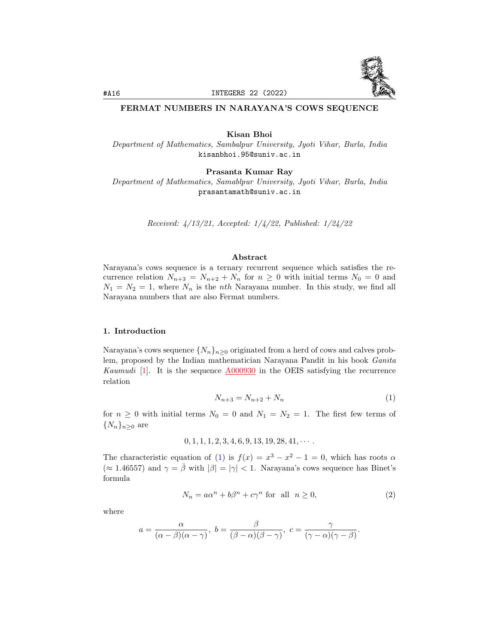

## FERMAT NUMBERS IN NARAYANA'S COWS SEQUENCE

Kisan Bhoi

Department of Mathematics, Sambalpur University, Jyoti Vihar, Burla, India kisanbhoi.95@suniv.ac.in

Prasanta Kumar Ray

Department of Mathematics, Samablpur University, Jyoti Vihar, Burla, India prasantamath@suniv.ac.in

Received: 4/13/21, Accepted: 1/4/22, Published: 1/24/22

#### Abstract

Narayana's cows sequence is a ternary recurrent sequence which satisfies the recurrence relation  $N_{n+3} = N_{n+2} + N_n$  for  $n \geq 0$  with initial terms  $N_0 = 0$  and  $N_1 = N_2 = 1$ , where  $N_n$  is the *nth* Narayana number. In this study, we find all Narayana numbers that are also Fermat numbers.

# 1. Introduction

Narayana's cows sequence  $\{N_n\}_{n\geq 0}$  originated from a herd of cows and calves problem, proposed by the Indian mathematician Narayana Pandit in his book Ganita Kaumudi [\[1\]](#page-5-0). It is the sequence [A000930](https://oeis.org/A000930) in the OEIS satisfying the recurrence relation

<span id="page-0-1"></span><span id="page-0-0"></span>
$$
N_{n+3} = N_{n+2} + N_n \tag{1}
$$

for  $n \geq 0$  with initial terms  $N_0 = 0$  and  $N_1 = N_2 = 1$ . The first few terms of  $\{N_n\}_{n\geq 0}$  are

$$
0, 1, 1, 1, 2, 3, 4, 6, 9, 13, 19, 28, 41, \cdots
$$

The characteristic equation of [\(1\)](#page-0-0) is  $f(x) = x^3 - x^2 - 1 = 0$ , which has roots  $\alpha$  $(\approx 1.46557)$  and  $\gamma = \bar{\beta}$  with  $|\beta| = |\gamma| < 1$ . Narayana's cows sequence has Binet's formula

$$
N_n = a\alpha^n + b\beta^n + c\gamma^n \text{ for all } n \ge 0,
$$
\n(2)

where

$$
a=\frac{\alpha}{(\alpha-\beta)(\alpha-\gamma)},\,\, b=\frac{\beta}{(\beta-\alpha)(\beta-\gamma)},\,\, c=\frac{\gamma}{(\gamma-\alpha)(\gamma-\beta)}.
$$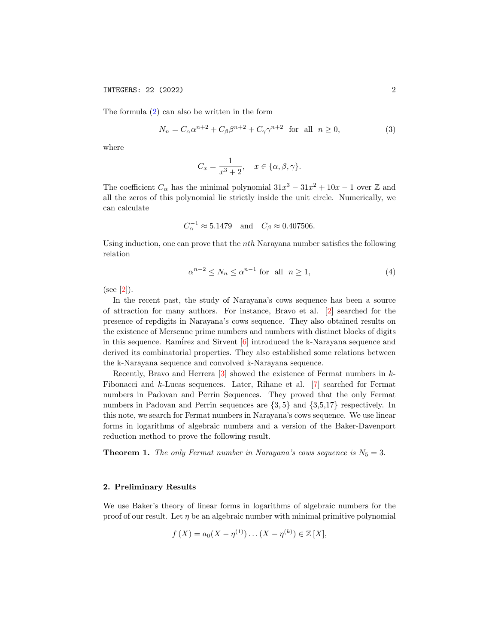The formula [\(2\)](#page-0-1) can also be written in the form

$$
N_n = C_\alpha \alpha^{n+2} + C_\beta \beta^{n+2} + C_\gamma \gamma^{n+2} \quad \text{for all} \quad n \ge 0,
$$
 (3)

where

<span id="page-1-2"></span>
$$
C_x = \frac{1}{x^3 + 2}, \quad x \in \{\alpha, \beta, \gamma\}.
$$

The coefficient  $C_{\alpha}$  has the minimal polynomial  $31x^3 - 31x^2 + 10x - 1$  over Z and all the zeros of this polynomial lie strictly inside the unit circle. Numerically, we can calculate

$$
C_{\alpha}^{-1} \approx 5.1479 \quad \text{and} \quad C_{\beta} \approx 0.407506.
$$

Using induction, one can prove that the  $nth$  Narayana number satisfies the following relation

<span id="page-1-1"></span>
$$
\alpha^{n-2} \le N_n \le \alpha^{n-1} \text{ for all } n \ge 1,
$$
\n<sup>(4)</sup>

 $(see [2]).$  $(see [2]).$  $(see [2]).$ 

In the recent past, the study of Narayana's cows sequence has been a source of attraction for many authors. For instance, Bravo et al. [\[2\]](#page-5-1) searched for the presence of repdigits in Narayana's cows sequence. They also obtained results on the existence of Mersenne prime numbers and numbers with distinct blocks of digits in this sequence. Ramirez and Sirvent  $[6]$  introduced the k-Narayana sequence and derived its combinatorial properties. They also established some relations between the k-Narayana sequence and convolved k-Narayana sequence.

Recently, Bravo and Herrera  $\lceil 3 \rceil$  showed the existence of Fermat numbers in k-Fibonacci and k-Lucas sequences. Later, Rihane et al. [\[7\]](#page-6-2) searched for Fermat numbers in Padovan and Perrin Sequences. They proved that the only Fermat numbers in Padovan and Perrin sequences are  $\{3,5\}$  and  $\{3,5,17\}$  respectively. In this note, we search for Fermat numbers in Narayana's cows sequence. We use linear forms in logarithms of algebraic numbers and a version of the Baker-Davenport reduction method to prove the following result.

<span id="page-1-0"></span>**Theorem 1.** The only Fermat number in Narayana's cows sequence is  $N_5 = 3$ .

## 2. Preliminary Results

We use Baker's theory of linear forms in logarithms of algebraic numbers for the proof of our result. Let  $\eta$  be an algebraic number with minimal primitive polynomial

$$
f(X) = a_0(X - \eta^{(1)}) \dots (X - \eta^{(k)}) \in \mathbb{Z}[X],
$$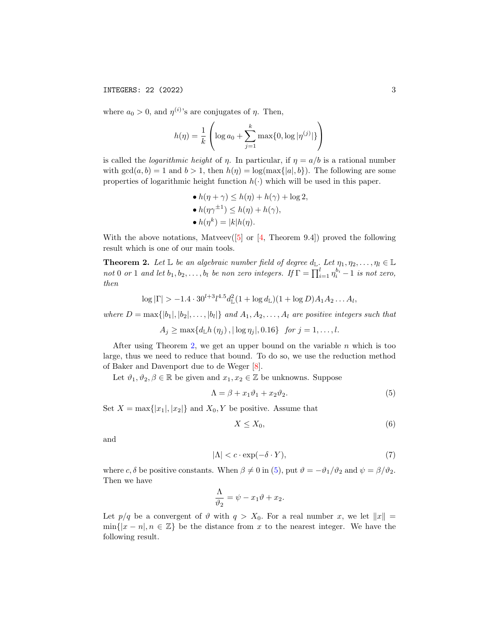where  $a_0 > 0$ , and  $\eta^{(i)}$ 's are conjugates of  $\eta$ . Then,

$$
h(\eta) = \frac{1}{k} \left( \log a_0 + \sum_{j=1}^{k} \max\{0, \log |\eta^{(j)}|\} \right)
$$

is called the *logarithmic height* of  $\eta$ . In particular, if  $\eta = a/b$  is a rational number with  $gcd(a, b) = 1$  and  $b > 1$ , then  $h(\eta) = log(max\{|a|, b\})$ . The following are some properties of logarithmic height function  $h(\cdot)$  which will be used in this paper.

\n- $$
h(\eta + \gamma) \leq h(\eta) + h(\gamma) + \log 2
$$
,
\n- $h(\eta \gamma^{\pm 1}) \leq h(\eta) + h(\gamma)$ ,
\n- $h(\eta^k) = |k|h(\eta)$ .
\n

With the above notations, Matveev( $[5]$  or  $[4,$  Theorem 9.4]) proved the following result which is one of our main tools.

<span id="page-2-0"></span>**Theorem 2.** Let  $\mathbb{L}$  be an algebraic number field of degree  $d_{\mathbb{L}}$ . Let  $\eta_1, \eta_2, \ldots, \eta_l \in \mathbb{L}$ not 0 or 1 and let  $b_1, b_2, \ldots, b_l$  be non zero integers. If  $\Gamma = \prod_{i=1}^l \eta_i^{b_i} - 1$  is not zero, then

$$
\log |\Gamma| > -1.4 \cdot 30^{l+3} l^{4.5} d_{\mathbb{L}}^2 (1 + \log d_{\mathbb{L}}) (1 + \log D) A_1 A_2 \dots A_l,
$$

where  $D = \max\{|b_1|, |b_2|, \ldots, |b_l|\}$  and  $A_1, A_2, \ldots, A_l$  are positive integers such that

 $A_i \geq \max\{d_{\mathbb{L}}h(\eta_i), |\log \eta_i|, 0.16\}$  for  $j = 1, ..., l$ .

After using Theorem [2,](#page-2-0) we get an upper bound on the variable  $n$  which is too large, thus we need to reduce that bound. To do so, we use the reduction method of Baker and Davenport due to de Weger [\[8\]](#page-6-5).

Let  $\vartheta_1, \vartheta_2, \beta \in \mathbb{R}$  be given and  $x_1, x_2 \in \mathbb{Z}$  be unknowns. Suppose

$$
\Lambda = \beta + x_1 \vartheta_1 + x_2 \vartheta_2. \tag{5}
$$

Set  $X = \max\{|x_1|, |x_2|\}$  and  $X_0, Y$  be positive. Assume that

<span id="page-2-3"></span><span id="page-2-2"></span><span id="page-2-1"></span>
$$
X \le X_0,\tag{6}
$$

and

$$
|\Lambda| < c \cdot \exp(-\delta \cdot Y),\tag{7}
$$

where c,  $\delta$  be positive constants. When  $\beta \neq 0$  in [\(5\)](#page-2-1), put  $\vartheta = -\vartheta_1/\vartheta_2$  and  $\psi = \beta/\vartheta_2$ . Then we have

$$
\frac{\Lambda}{\vartheta_2} = \psi - x_1 \vartheta + x_2.
$$

Let  $p/q$  be a convergent of  $\vartheta$  with  $q > X_0$ . For a real number x, we let  $||x|| =$  $\min\{|x - n|, n \in \mathbb{Z}\}\$ be the distance from x to the nearest integer. We have the following result.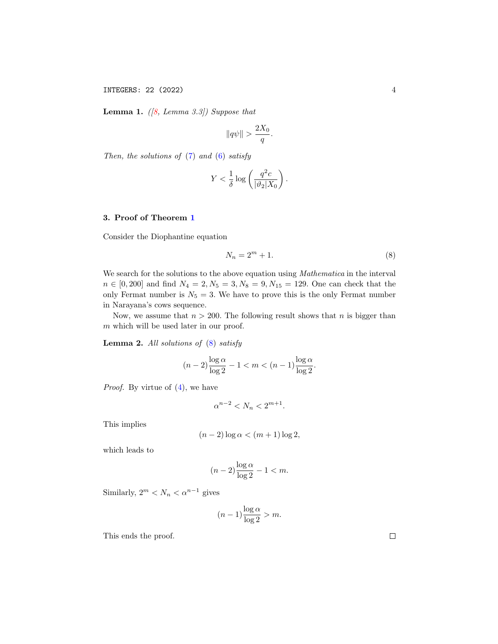INTEGERS: 22 (2022) 4

<span id="page-3-1"></span>**Lemma 1.** ([\[8,](#page-6-5) Lemma 3.3]) Suppose that

$$
||q\psi|| > \frac{2X_0}{q}.
$$

Then, the solutions of  $(7)$  and  $(6)$  satisfy

$$
Y < \frac{1}{\delta} \log \left( \frac{q^2 c}{|\vartheta_2| X_0} \right).
$$

# 3. Proof of Theorem [1](#page-1-0)

Consider the Diophantine equation

<span id="page-3-0"></span>
$$
N_n = 2^m + 1.\t\t(8)
$$

We search for the solutions to the above equation using *Mathematica* in the interval  $n \in [0, 200]$  and find  $N_4 = 2, N_5 = 3, N_8 = 9, N_{15} = 129$ . One can check that the only Fermat number is  $N_5 = 3$ . We have to prove this is the only Fermat number in Narayana's cows sequence.

Now, we assume that  $n > 200$ . The following result shows that n is bigger than m which will be used later in our proof.

**Lemma 2.** All solutions of  $(8)$  satisfy

$$
(n-2)\frac{\log \alpha}{\log 2} - 1 < m < (n-1)\frac{\log \alpha}{\log 2}.
$$

Proof. By virtue of [\(4\)](#page-1-1), we have

$$
\alpha^{n-2}
$$

This implies

$$
(n-2)\log\alpha < (m+1)\log 2,
$$

which leads to

$$
(n-2)\frac{\log\alpha}{\log 2} - 1 < m.
$$

Similarly,  $2^m < N_n < \alpha^{n-1}$  gives

$$
(n-1)\frac{\log \alpha}{\log 2} > m.
$$

This ends the proof.

 $\Box$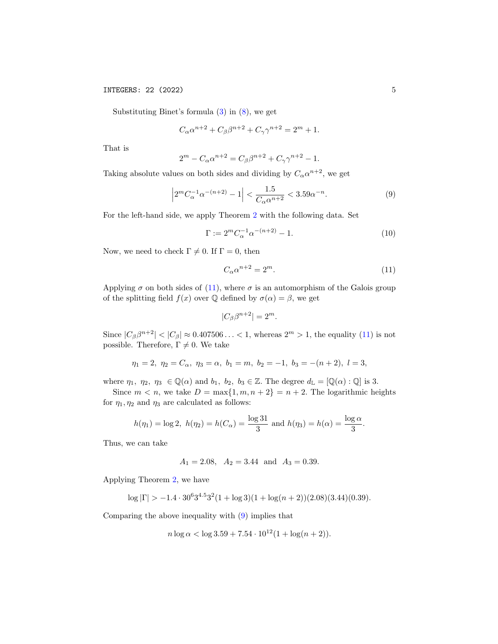Substituting Binet's formula  $(3)$  in  $(8)$ , we get

$$
C_{\alpha}\alpha^{n+2} + C_{\beta}\beta^{n+2} + C_{\gamma}\gamma^{n+2} = 2^m + 1.
$$

That is

$$
2^{m} - C_{\alpha} \alpha^{n+2} = C_{\beta} \beta^{n+2} + C_{\gamma} \gamma^{n+2} - 1.
$$

Taking absolute values on both sides and dividing by  $C_{\alpha} \alpha^{n+2}$ , we get

$$
\left|2^{m}C_{\alpha}^{-1}\alpha^{-(n+2)} - 1\right| < \frac{1.5}{C_{\alpha}\alpha^{n+2}} < 3.59\alpha^{-n}.\tag{9}
$$

For the left-hand side, we apply Theorem [2](#page-2-0) with the following data. Set

$$
\Gamma := 2^m C_\alpha^{-1} \alpha^{-(n+2)} - 1. \tag{10}
$$

Now, we need to check  $\Gamma \neq 0$ . If  $\Gamma = 0$ , then

<span id="page-4-1"></span><span id="page-4-0"></span>
$$
C_{\alpha}\alpha^{n+2} = 2^m. \tag{11}
$$

Applying  $\sigma$  on both sides of [\(11\)](#page-4-0), where  $\sigma$  is an automorphism of the Galois group of the splitting field  $f(x)$  over  $\mathbb Q$  defined by  $\sigma(\alpha) = \beta$ , we get

$$
|C_{\beta}\beta^{n+2}| = 2^m.
$$

Since  $|C_{\beta}\beta^{n+2}| < |C_{\beta}| \approx 0.407506... < 1$ , whereas  $2^{m} > 1$ , the equality [\(11\)](#page-4-0) is not possible. Therefore,  $\Gamma \neq 0$ . We take

$$
\eta_1 = 2, \ \eta_2 = C_\alpha, \ \eta_3 = \alpha, \ b_1 = m, \ b_2 = -1, \ b_3 = -(n+2), \ l = 3,
$$

where  $\eta_1, \eta_2, \eta_3 \in \mathbb{Q}(\alpha)$  and  $b_1, b_2, b_3 \in \mathbb{Z}$ . The degree  $d_{\mathbb{L}} = [\mathbb{Q}(\alpha) : \mathbb{Q}]$  is 3.

Since  $m < n$ , we take  $D = \max\{1, m, n + 2\} = n + 2$ . The logarithmic heights for  $\eta_1, \eta_2$  and  $\eta_3$  are calculated as follows:

$$
h(\eta_1) = \log 2
$$
,  $h(\eta_2) = h(C_\alpha) = \frac{\log 31}{3}$  and  $h(\eta_3) = h(\alpha) = \frac{\log \alpha}{3}$ .

Thus, we can take

$$
A_1 = 2.08
$$
,  $A_2 = 3.44$  and  $A_3 = 0.39$ .

Applying Theorem [2,](#page-2-0) we have

$$
\log |\Gamma| > -1.4 \cdot 30^6 3^{4.5} 3^2 (1 + \log 3)(1 + \log(n+2))(2.08)(3.44)(0.39).
$$

Comparing the above inequality with [\(9\)](#page-4-1) implies that

$$
n \log \alpha < \log 3.59 + 7.54 \cdot 10^{12} (1 + \log(n + 2)).
$$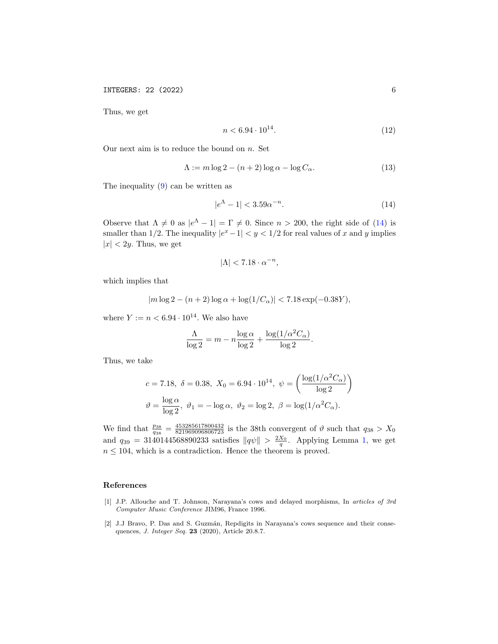INTEGERS: 22 (2022) 6

Thus, we get

$$
n < 6.94 \cdot 10^{14}.\tag{12}
$$

Our next aim is to reduce the bound on  $n$ . Set

$$
\Lambda := m \log 2 - (n+2) \log \alpha - \log C_{\alpha}.
$$
\n(13)

The inequality [\(9\)](#page-4-1) can be written as

<span id="page-5-2"></span>
$$
|e^{\Lambda} - 1| < 3.59\alpha^{-n}.\tag{14}
$$

Observe that  $\Lambda \neq 0$  as  $|e^{\Lambda} - 1| = \Gamma \neq 0$ . Since  $n > 200$ , the right side of [\(14\)](#page-5-2) is smaller than 1/2. The inequality  $|e^x - 1| < y < 1/2$  for real values of x and y implies  $|x| < 2y$ . Thus, we get

$$
|\Lambda| < 7.18 \cdot \alpha^{-n},
$$

which implies that

$$
|m\log 2 - (n+2)\log \alpha + \log(1/C_{\alpha})| < 7.18\exp(-0.38Y),
$$

where  $Y := n < 6.94 \cdot 10^{14}$ . We also have

$$
\frac{\Lambda}{\log 2} = m - n \frac{\log \alpha}{\log 2} + \frac{\log(1/\alpha^2 C_{\alpha})}{\log 2}.
$$

Thus, we take

$$
c = 7.18, \ \delta = 0.38, \ X_0 = 6.94 \cdot 10^{14}, \ \psi = \left(\frac{\log(1/\alpha^2 C_{\alpha})}{\log 2}\right)
$$

$$
\vartheta = \frac{\log \alpha}{\log 2}, \ \vartheta_1 = -\log \alpha, \ \vartheta_2 = \log 2, \ \beta = \log(1/\alpha^2 C_{\alpha}).
$$

We find that  $\frac{p_{38}}{q_{38}} = \frac{453285617800432}{821969096806723}$  is the 38th convergent of  $\vartheta$  such that  $q_{38} > X_0$ and  $q_{39} = 3140144568890233$  satisfies  $||q\psi|| > \frac{2X_0}{q}$ . Applying Lemma [1,](#page-3-1) we get  $n \leq 104$ , which is a contradiction. Hence the theorem is proved.

### References

- <span id="page-5-0"></span>[1] J.P. Allouche and T. Johnson, Narayana's cows and delayed morphisms, In articles of 3rd Computer Music Conference JIM96, France 1996.
- <span id="page-5-1"></span>[2] J.J Bravo, P. Das and S. Guzmán, Repdigits in Narayana's cows sequence and their consequences, J. Integer Seq. 23 (2020), Article 20.8.7.